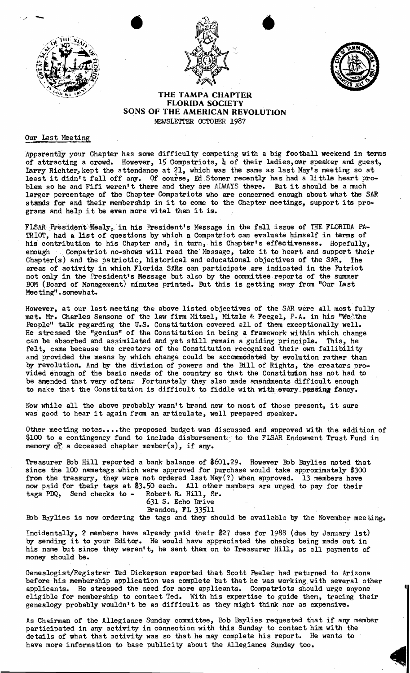





## THE TAMPA CHAPTER FLORIDA SOCIETY SONS OF THE AMERICAN REVOLUTION NEWSLETTER OCTOBER 1987

## Our Last Meeting

Apparently your Chapter has some difficulty competing with a big football weekend in terms of attracting a crowd. However, 15 Compatriots,  $\mu$  of their ladies, our speaker and guest, larry Richter, kept the attendance at 21, which was the same as last May's meeting so at least it didn't fall off any. Of course, Ed Stoner recently has had a little heart problem so he and Fifi weren't there and they are ALWAYS there. But it should be a much larger percentage of the Chapter Compatriots who are concerned enough about what the SAR stands for and their membership in it to come to the Chapter meetings, support its programs and help it be even more vital than it is.

FLSAR President-Healy, in his President's Message in the fall issue of THE FLORIDA PA-TRIOT, had a list of questions by which a Compatriot can evaluate himself in terms of his contribution to his Chapter and, in turn, his Chapter's effectiveness. Hopefully, enough :. Compatriot no-shows will read the Message, take it to heart and support their Chapter(s) and the patriotic, historical and educational objectives of the SAR. The areas of activity in which Florida SARs can participate are indicated in the Patriot not only in the President's Message but also by the committee reports of the summer BOM (Board of Management) minutes printed. But this is getting away from "Our last Meeting"" somewhat.

However, at our last meeting the above listed objectives of the SAR were all most fully met. Mr. Charles Sansone of the law firm Mitzel, Mitzle & Feegel, P.A. in his "Wethe People" talk regarding the U.S. Constitution covered all of them exceptionally well. He stressed the "genius" of the Constitution in being a framework within which change can be absorbed and assimilated and yet still remain a'guiding principle. This, he felt, came because the creators of the Constitution recognized their own fallibility and provided the means by which change could be accommodated by evolution rather than by revolution. And by the division of powers and the Bill of Rights, the creators provided enough of the basic needs of the country so that the Constitution has not had to be amended that very often. Fortunately they also made amendments difficult enough to make that the Constitution is difficult to fiddle with with every passing fancy.

Now while all the above probably wasn't brand new to most of those present, it sure was good to hear it again from an articulate, well prepared speaker.

Other meeting notes....the proposed budget was discussed and approved with the addition of \$100 to a contingency fund to include disbursement: to the FLSAR Endowment Trust Fund in memory of a deceased chapter member(s), if any.

Treasurer Bob Hill reported a bank balance of \$601.29. However Bob Baylies noted that since the 100 nametags which were approved for purchase would take approximately \$300 from the treasury, they were not ordered last May(?) when approved. now paid for their tags at \$3.50 each. All other members are urged tags PDQ, Send cheeks to - Robert R. Hill, Sr. 13 members have to pay for their

631 S. Echo Drive Brandon, FL 33511

Bob Baylies is now ordering the tags and they should be available by the November meeting.

Incidentally, 2 members have already paid their \$27 dues for 1988 (due by January 1st) by sending it to your Editor. He would have appreciated the checks being made out in his name but since they weren't, he sent them on to Treasurer Hill, as all payments of money should be.

Genealogist/Registrar Ted Dickerson reported that Scott Feeler had returned to Arizona before his membership application was complete but that he was working with several other applicants. He stressed the need for more applicants. Compatriots should urge anyone eligible for membership to contact Ted. With his expertise to guide them, tracing their genealogy probably wouldn't be as difficult as they might think nor as expensive.

As Chairman of the Allegiance Sunday committee, Bob Baylies requested that if any member participated in any activity in connection with this Sunday to contact him wi th the details of what that activity was so that he may complete his report. He wants to have more information to base publicity about the Allegiance Sunday too.